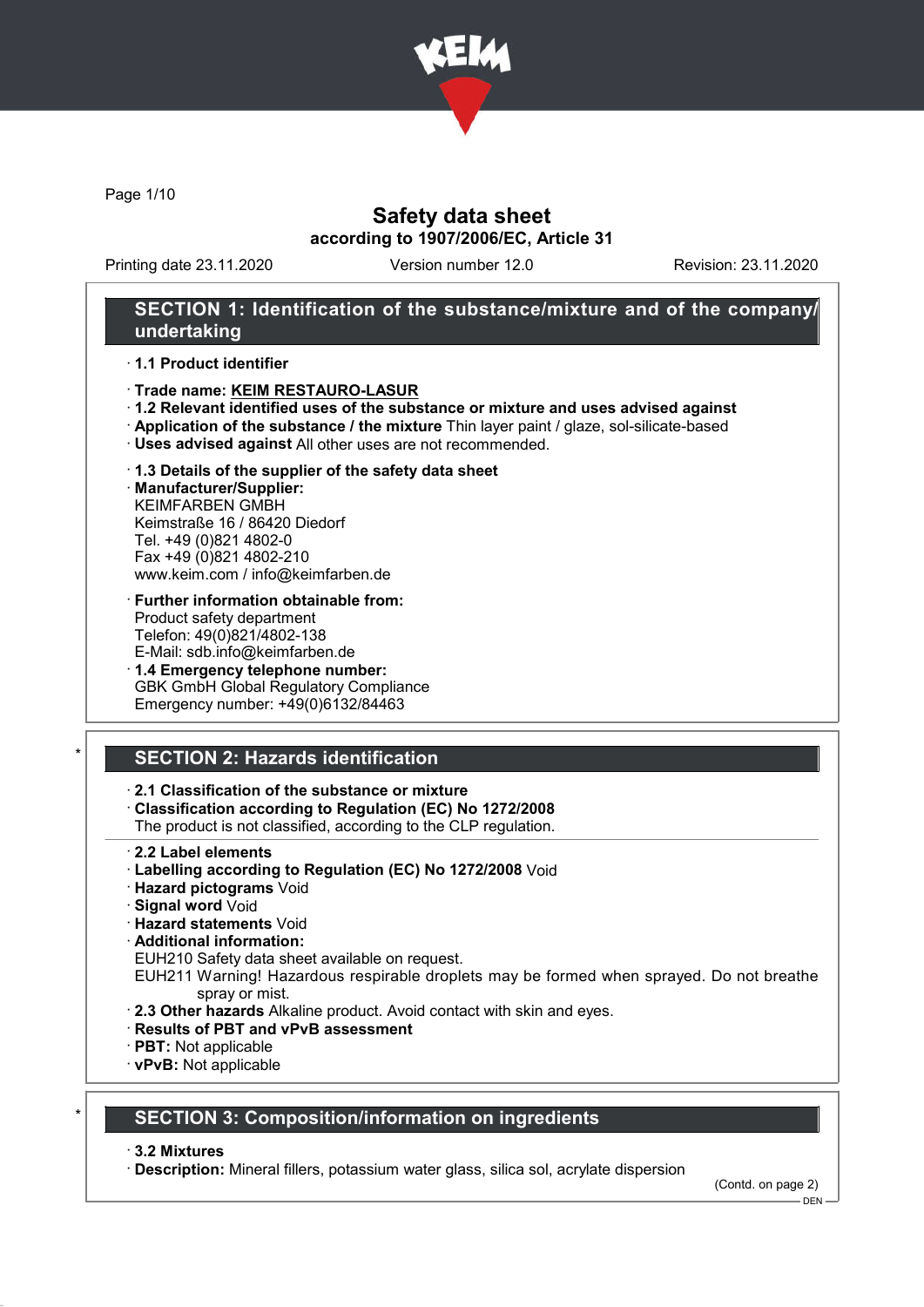

Page 1/10

### Safety data sheet according to 1907/2006/EC, Article 31

Printing date 23.11.2020 Version number 12.0 Revision: 23.11.2020

### SECTION 1: Identification of the substance/mixture and of the company/ undertaking

#### · 1.1 Product identifier

- · Trade name: KEIM RESTAURO-LASUR
- · 1.2 Relevant identified uses of the substance or mixture and uses advised against
- · Application of the substance / the mixture Thin layer paint / glaze, sol-silicate-based
- · Uses advised against All other uses are not recommended.
- · 1.3 Details of the supplier of the safety data sheet

· Manufacturer/Supplier: KEIMFARBEN GMBH Keimstraße 16 / 86420 Diedorf Tel. +49 (0)821 4802-0 Fax +49 (0)821 4802-210 www.keim.com / info@keimfarben.de

· Further information obtainable from: Product safety department Telefon: 49(0)821/4802-138 E-Mail: sdb.info@keimfarben.de

· 1.4 Emergency telephone number: GBK GmbH Global Regulatory Compliance Emergency number: +49(0)6132/84463

# **SECTION 2: Hazards identification**

### · 2.1 Classification of the substance or mixture

· Classification according to Regulation (EC) No 1272/2008

The product is not classified, according to the CLP regulation.

- 2.2 Label elements
- · Labelling according to Regulation (EC) No 1272/2008 Void
- · Hazard pictograms Void
- · Signal word Void
- · Hazard statements Void
- · Additional information:

EUH210 Safety data sheet available on request.

EUH211 Warning! Hazardous respirable droplets may be formed when sprayed. Do not breathe spray or mist.

- · 2.3 Other hazards Alkaline product. Avoid contact with skin and eyes.
- · Results of PBT and vPvB assessment
- · PBT: Not applicable
- · vPvB: Not applicable

### **SECTION 3: Composition/information on ingredients**

#### · 3.2 Mixtures

· Description: Mineral fillers, potassium water glass, silica sol, acrylate dispersion

(Contd. on page 2)

 $-$  DEN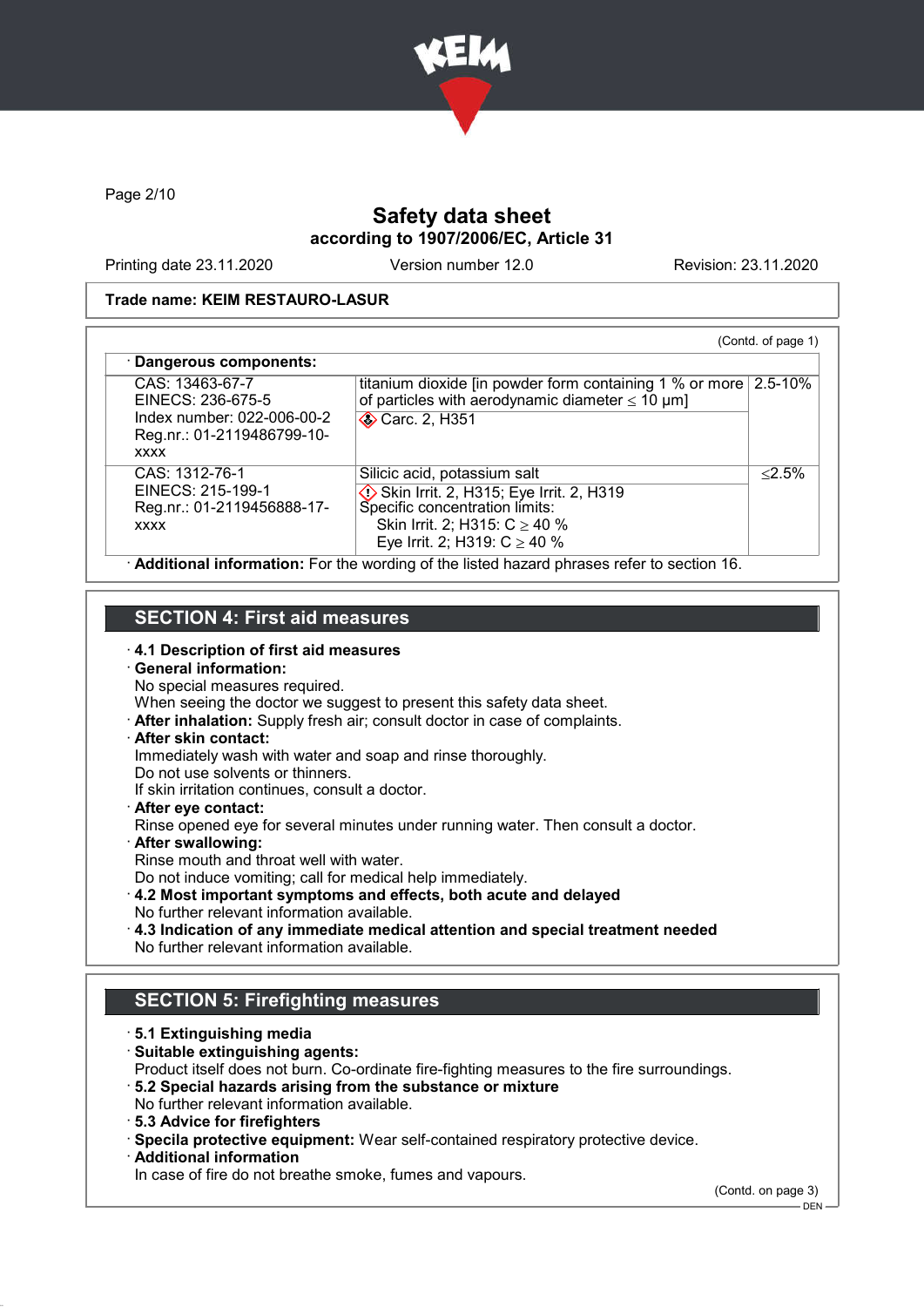

Page 2/10

# Safety data sheet according to 1907/2006/EC, Article 31

Printing date 23.11.2020 Version number 12.0 Revision: 23.11.2020

#### Trade name: KEIM RESTAURO-LASUR

| CAS: 13463-67-7<br>EINECS: 236-675-5                                             | titanium dioxide [in powder form containing 1 % or more $\vert$ 2.5-10%<br>of particles with aerodynamic diameter $\leq 10 \ \mu m$ ]                                              |           |
|----------------------------------------------------------------------------------|------------------------------------------------------------------------------------------------------------------------------------------------------------------------------------|-----------|
| Index number: 022-006-00-2<br>Reg.nr.: 01-2119486799-10-<br><b>XXXX</b>          | <b>◆ Carc. 2, H351</b>                                                                                                                                                             |           |
| CAS: 1312-76-1<br>EINECS: 215-199-1<br>Reg.nr.: 01-2119456888-17-<br><b>XXXX</b> | Silicic acid, potassium salt<br>Skin Irrit. 2, H315; Eye Irrit. 2, H319<br>Specific concentration limits:<br>Skin Irrit. 2; H315: $C \ge 40$ %<br>Eye Irrit. 2; H319: $C \ge 40$ % | $< 2.5\%$ |

### SECTION 4: First aid measures

· 4.1 Description of first aid measures

# · General information:

No special measures required.

When seeing the doctor we suggest to present this safety data sheet.

· After inhalation: Supply fresh air; consult doctor in case of complaints.

### · After skin contact:

Immediately wash with water and soap and rinse thoroughly.

Do not use solvents or thinners.

If skin irritation continues, consult a doctor.

· After eye contact:

Rinse opened eye for several minutes under running water. Then consult a doctor.

- · After swallowing:
- Rinse mouth and throat well with water.

Do not induce vomiting; call for medical help immediately.

- · 4.2 Most important symptoms and effects, both acute and delayed No further relevant information available.
- · 4.3 Indication of any immediate medical attention and special treatment needed No further relevant information available.

# SECTION 5: Firefighting measures

- · 5.1 Extinguishing media
- · Suitable extinguishing agents:

Product itself does not burn. Co-ordinate fire-fighting measures to the fire surroundings.

- · 5.2 Special hazards arising from the substance or mixture No further relevant information available.
- · 5.3 Advice for firefighters
- · Specila protective equipment: Wear self-contained respiratory protective device.
- · Additional information

In case of fire do not breathe smoke, fumes and vapours.

(Contd. on page 3)

 $-$  DEN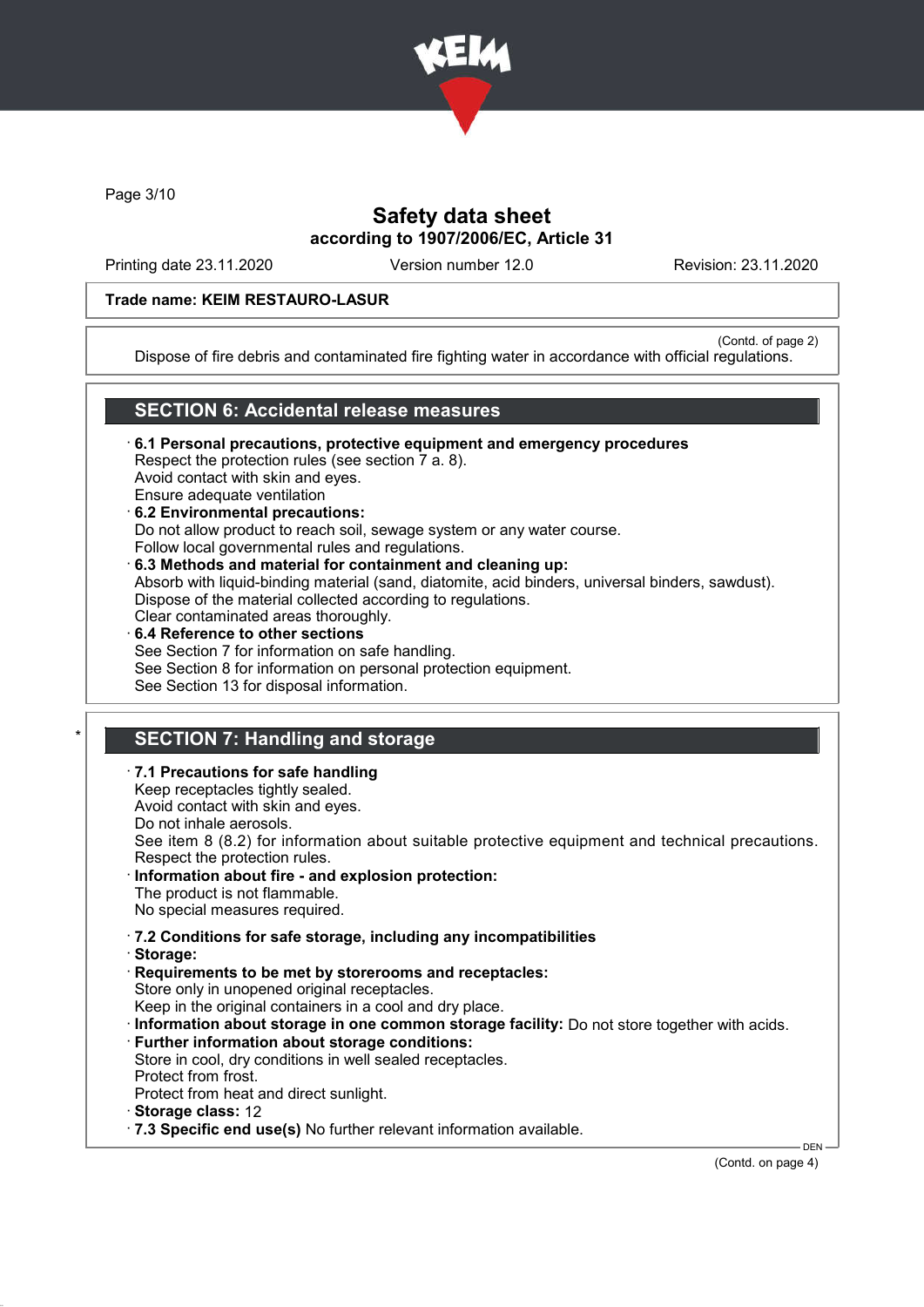

Page 3/10

## Safety data sheet according to 1907/2006/EC, Article 31

Printing date 23.11.2020 Version number 12.0 Revision: 23.11.2020

### Trade name: KEIM RESTAURO-LASUR

(Contd. of page 2)

Dispose of fire debris and contaminated fire fighting water in accordance with official regulations.

### SECTION 6: Accidental release measures

· 6.1 Personal precautions, protective equipment and emergency procedures Respect the protection rules (see section 7 a. 8). Avoid contact with skin and eyes. Ensure adequate ventilation · 6.2 Environmental precautions:

Do not allow product to reach soil, sewage system or any water course.

- Follow local governmental rules and regulations.
- · 6.3 Methods and material for containment and cleaning up: Absorb with liquid-binding material (sand, diatomite, acid binders, universal binders, sawdust). Dispose of the material collected according to regulations. Clear contaminated areas thoroughly.
- 6.4 Reference to other sections See Section 7 for information on safe handling. See Section 8 for information on personal protection equipment. See Section 13 for disposal information.

# **SECTION 7: Handling and storage**

· 7.1 Precautions for safe handling Keep receptacles tightly sealed. Avoid contact with skin and eyes. Do not inhale aerosols. See item 8 (8.2) for information about suitable protective equipment and technical precautions. Respect the protection rules. Information about fire - and explosion protection: The product is not flammable. No special measures required. · 7.2 Conditions for safe storage, including any incompatibilities · Storage: · Requirements to be met by storerooms and receptacles: Store only in unopened original receptacles. Keep in the original containers in a cool and dry place. · Information about storage in one common storage facility: Do not store together with acids. · Further information about storage conditions: Store in cool, dry conditions in well sealed receptacles. Protect from frost. Protect from heat and direct sunlight. · Storage class: 12 · 7.3 Specific end use(s) No further relevant information available. **DEN** 

(Contd. on page 4)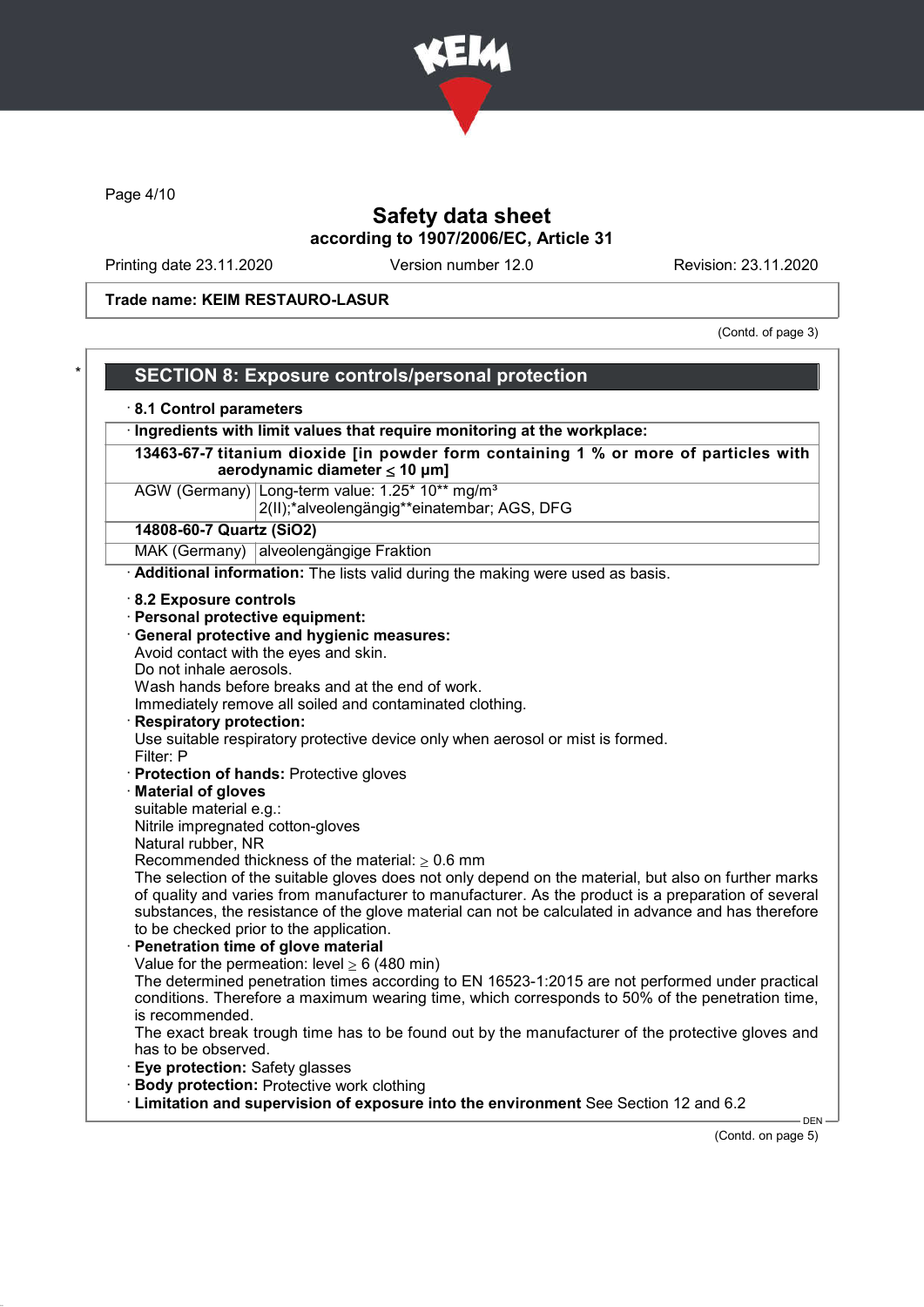

Page 4/10

# Safety data sheet according to 1907/2006/EC, Article 31

Printing date 23.11.2020 Version number 12.0 Revision: 23.11.2020

Trade name: KEIM RESTAURO-LASUR

(Contd. of page 3)

| 8.1 Control parameters                               |                                                                                                            |
|------------------------------------------------------|------------------------------------------------------------------------------------------------------------|
|                                                      | Ingredients with limit values that require monitoring at the workplace:                                    |
|                                                      | 13463-67-7 titanium dioxide [in powder form containing 1 % or more of particles with                       |
|                                                      | aerodynamic diameter $\leq 10$ µm]                                                                         |
|                                                      | AGW (Germany) Long-term value: 1.25* 10** mg/m <sup>3</sup><br>2(II);*alveolengängig**einatembar; AGS, DFG |
| 14808-60-7 Quartz (SiO2)                             |                                                                                                            |
|                                                      | MAK (Germany) alveolengängige Fraktion                                                                     |
|                                                      | Additional information: The lists valid during the making were used as basis.                              |
| 8.2 Exposure controls                                |                                                                                                            |
| · Personal protective equipment:                     |                                                                                                            |
|                                                      | · General protective and hygienic measures:                                                                |
|                                                      | Avoid contact with the eyes and skin.                                                                      |
| Do not inhale aerosols.                              |                                                                                                            |
|                                                      | Wash hands before breaks and at the end of work.                                                           |
|                                                      | Immediately remove all soiled and contaminated clothing.                                                   |
| <b>Respiratory protection:</b>                       |                                                                                                            |
|                                                      | Use suitable respiratory protective device only when aerosol or mist is formed.                            |
| Filter: P                                            |                                                                                                            |
|                                                      | · Protection of hands: Protective gloves                                                                   |
| <b>Material of gloves</b><br>suitable material e.g.: |                                                                                                            |
| Nitrile impregnated cotton-gloves                    |                                                                                                            |
| Natural rubber, NR                                   |                                                                                                            |
|                                                      | Recommended thickness of the material: $\geq 0.6$ mm                                                       |
|                                                      | The selection of the suitable gloves does not only depend on the material, but also on further marks       |
|                                                      | of quality and varies from manufacturer to manufacturer. As the product is a preparation of several        |
|                                                      | substances, the resistance of the glove material can not be calculated in advance and has therefore        |
|                                                      | to be checked prior to the application.                                                                    |
|                                                      | Penetration time of glove material<br>Value for the permeation: level $\geq 6$ (480 min)                   |
|                                                      | The determined penetration times according to EN 16523-1:2015 are not performed under practical            |
|                                                      | conditions. Therefore a maximum wearing time, which corresponds to 50% of the penetration time,            |
| is recommended.                                      |                                                                                                            |
|                                                      | The exact break trough time has to be found out by the manufacturer of the protective gloves and           |
| has to be observed.                                  |                                                                                                            |
| Eye protection: Safety glasses                       |                                                                                                            |
|                                                      | <b>Body protection: Protective work clothing</b>                                                           |
|                                                      | · Limitation and supervision of exposure into the environment See Section 12 and 6.2                       |

(Contd. on page 5)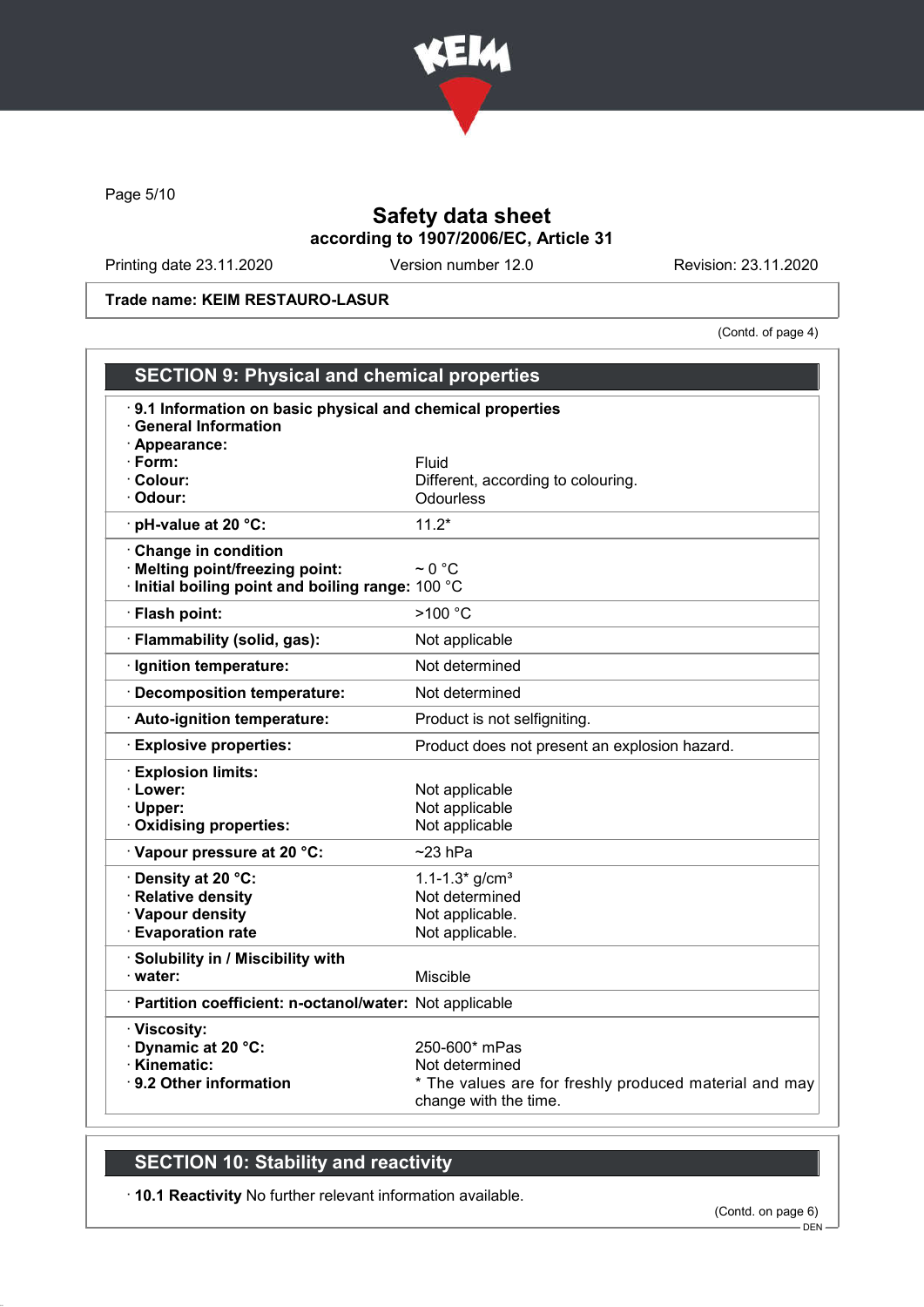

Page 5/10

# Safety data sheet according to 1907/2006/EC, Article 31

Printing date 23.11.2020 Version number 12.0 Revision: 23.11.2020

Trade name: KEIM RESTAURO-LASUR

(Contd. of page 4)

| <b>SECTION 9: Physical and chemical properties</b>                                      |                                                        |  |
|-----------------------------------------------------------------------------------------|--------------------------------------------------------|--|
| 9.1 Information on basic physical and chemical properties<br><b>General Information</b> |                                                        |  |
| · Appearance:                                                                           |                                                        |  |
| $\cdot$ Form:                                                                           | Fluid                                                  |  |
| $\cdot$ Colour:<br>· Odour:                                                             | Different, according to colouring.<br><b>Odourless</b> |  |
|                                                                                         |                                                        |  |
| · pH-value at 20 °C:                                                                    | $11.2*$                                                |  |
| Change in condition                                                                     | $\sim$ 0 °C                                            |  |
| · Melting point/freezing point:<br>Initial boiling point and boiling range: 100 °C      |                                                        |  |
| · Flash point:                                                                          | >100 °C                                                |  |
| · Flammability (solid, gas):                                                            | Not applicable                                         |  |
| · Ignition temperature:                                                                 | Not determined                                         |  |
| Decomposition temperature:                                                              | Not determined                                         |  |
| · Auto-ignition temperature:                                                            | Product is not selfigniting.                           |  |
| <b>Explosive properties:</b>                                                            | Product does not present an explosion hazard.          |  |
| <b>Explosion limits:</b>                                                                |                                                        |  |
| · Lower:                                                                                | Not applicable                                         |  |
| · Upper:                                                                                | Not applicable                                         |  |
| · Oxidising properties:                                                                 | Not applicable                                         |  |
| Vapour pressure at 20 °C:                                                               | $~23$ hPa                                              |  |
| <b>· Density at 20 °C:</b>                                                              | 1.1-1.3* $g/cm3$                                       |  |
| · Relative density                                                                      | Not determined                                         |  |
| · Vapour density<br><b>Evaporation rate</b>                                             | Not applicable.<br>Not applicable.                     |  |
|                                                                                         |                                                        |  |
| · Solubility in / Miscibility with<br>· water:                                          | Miscible                                               |  |
| · Partition coefficient: n-octanol/water: Not applicable                                |                                                        |  |
|                                                                                         |                                                        |  |
| · Viscosity:<br>Dynamic at 20 °C:                                                       | 250-600* mPas                                          |  |
| · Kinematic:                                                                            | Not determined                                         |  |
| ⋅ 9.2 Other information                                                                 | * The values are for freshly produced material and may |  |
|                                                                                         | change with the time.                                  |  |

# SECTION 10: Stability and reactivity

· 10.1 Reactivity No further relevant information available.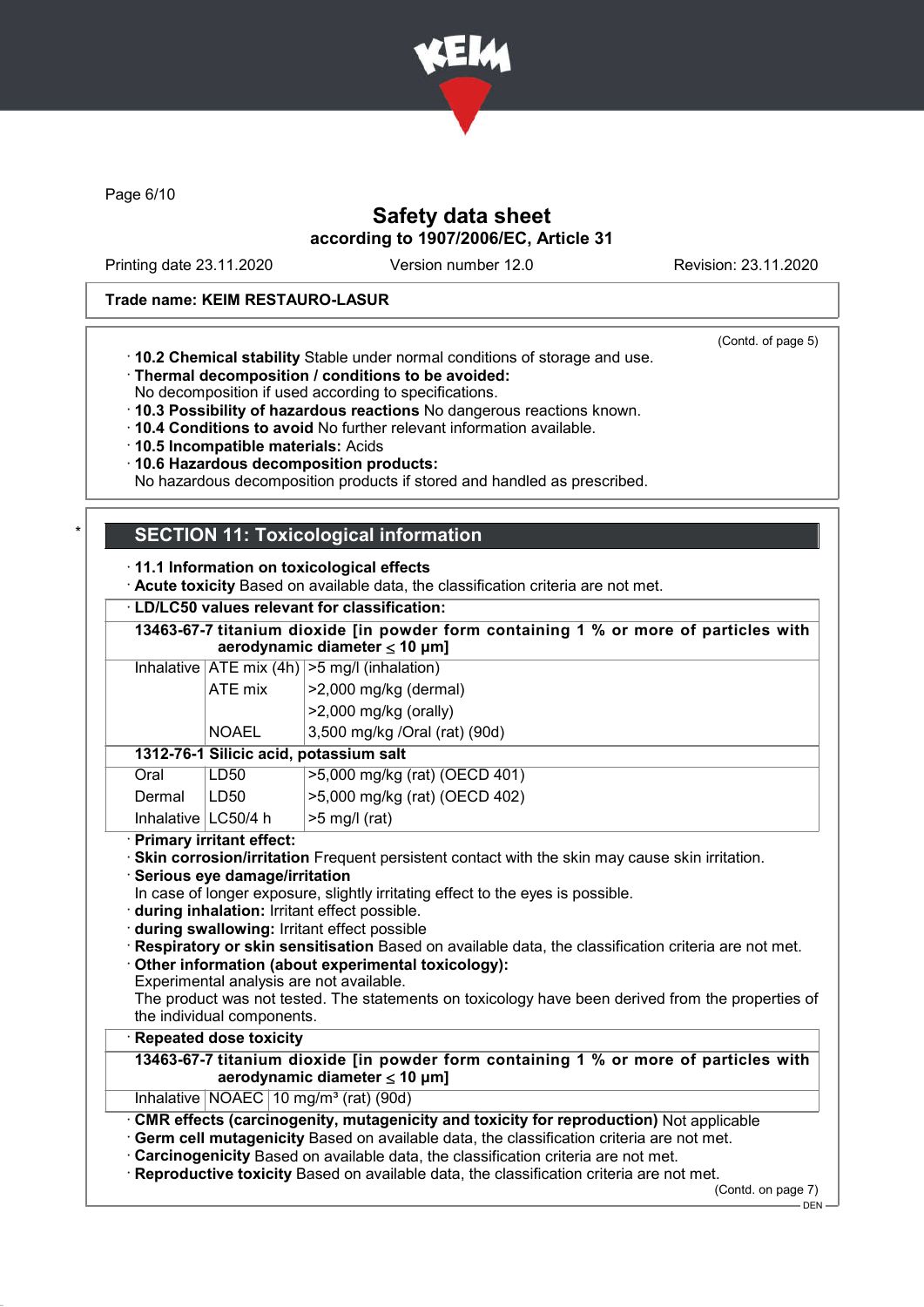

Page 6/10

## Safety data sheet according to 1907/2006/EC, Article 31

Printing date 23.11.2020 Version number 12.0 Revision: 23.11.2020

(Contd. of page 5)

#### Trade name: KEIM RESTAURO-LASUR

- · 10.2 Chemical stability Stable under normal conditions of storage and use.
- · Thermal decomposition / conditions to be avoided:
- No decomposition if used according to specifications.
- · 10.3 Possibility of hazardous reactions No dangerous reactions known.
- · 10.4 Conditions to avoid No further relevant information available.
- · 10.5 Incompatible materials: Acids
- · 10.6 Hazardous decomposition products:
- No hazardous decomposition products if stored and handled as prescribed.

# **SECTION 11: Toxicological information**

- · 11.1 Information on toxicological effects
- · Acute toxicity Based on available data, the classification criteria are not met.
- · LD/LC50 values relevant for classification:

13463-67-7 titanium dioxide [in powder form containing 1 % or more of particles with aerodynamic diameter  $\leq 10$  µm]

Inhalative  $|ATE \text{ mix } (4h) | > 5 \text{ mg/l } (inhalation)$ ATE mix  $\vert$  >2,000 mg/kg (dermal)

>2,000 mg/kg (orally) NOAEL 3,500 mg/kg /Oral (rat) (90d)

| Oral                   | LD50 | >5,000 mg/kg (rat) (OECD 401) |
|------------------------|------|-------------------------------|
| Dermal                 | LD50 | >5,000 mg/kg (rat) (OECD 402) |
| Inhalative $ LC50/4$ h |      | ∣>5 mg/l (rat)                |

· Primary irritant effect:

· Skin corrosion/irritation Frequent persistent contact with the skin may cause skin irritation.

· Serious eye damage/irritation

In case of longer exposure, slightly irritating effect to the eyes is possible.

- · during inhalation: Irritant effect possible.
- · during swallowing: Irritant effect possible
- · Respiratory or skin sensitisation Based on available data, the classification criteria are not met.

· Other information (about experimental toxicology):

Experimental analysis are not available.

The product was not tested. The statements on toxicology have been derived from the properties of the individual components.

### **Repeated dose toxicity**

### 13463-67-7 titanium dioxide [in powder form containing 1 % or more of particles with aerodynamic diameter  $\leq 10 \mu m$ ]

Inhalative  $NOAEC$  10 mg/m<sup>3</sup> (rat) (90d)

· CMR effects (carcinogenity, mutagenicity and toxicity for reproduction) Not applicable

- Germ cell mutagenicity Based on available data, the classification criteria are not met.
- Carcinogenicity Based on available data, the classification criteria are not met.
- · Reproductive toxicity Based on available data, the classification criteria are not met.

(Contd. on page 7)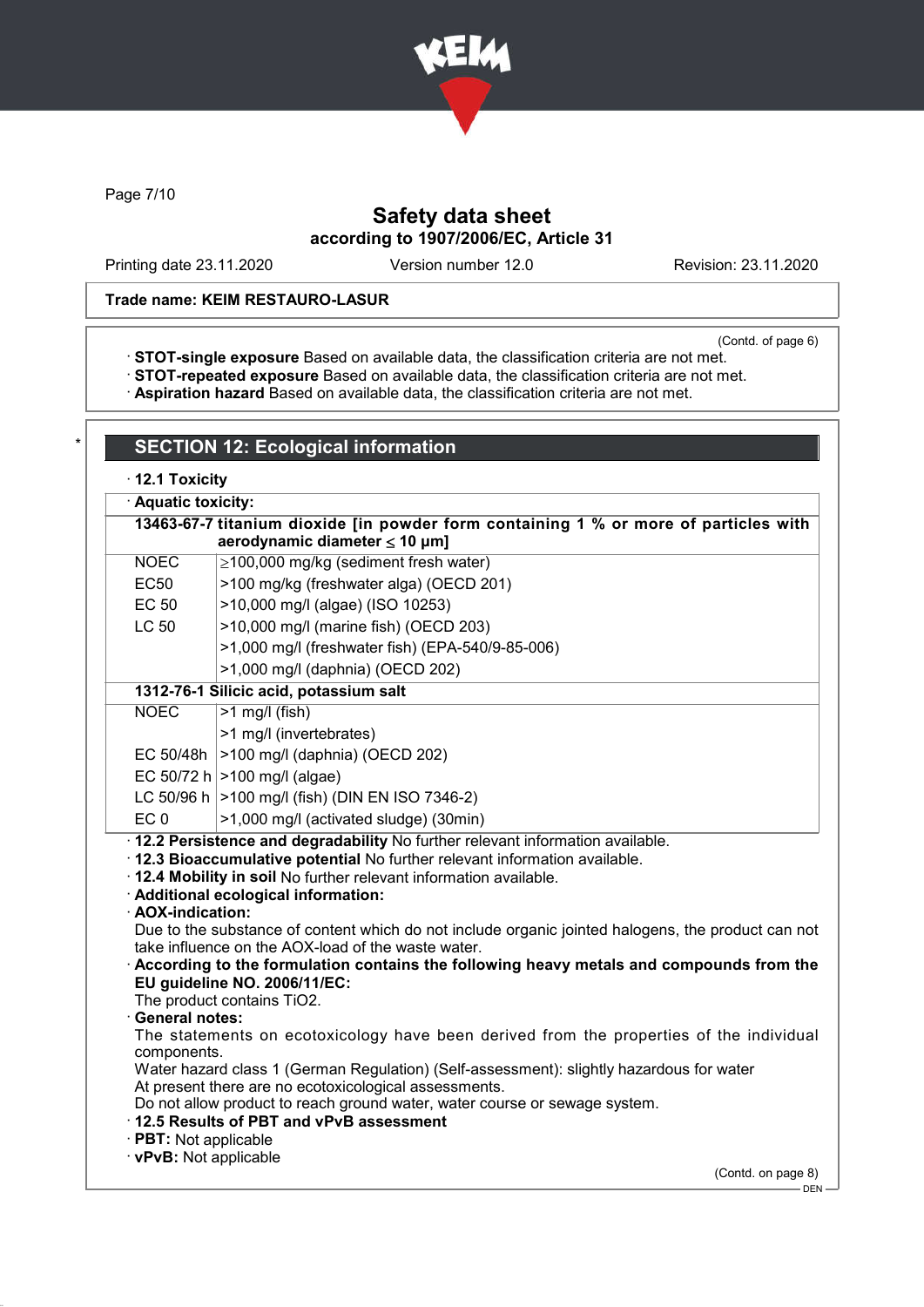

Page 7/10

# Safety data sheet according to 1907/2006/EC, Article 31

Printing date 23.11.2020 Version number 12.0 Revision: 23.11.2020

### Trade name: KEIM RESTAURO-LASUR

(Contd. of page 6)

· STOT-single exposure Based on available data, the classification criteria are not met.

· STOT-repeated exposure Based on available data, the classification criteria are not met.

· Aspiration hazard Based on available data, the classification criteria are not met.

# **SECTION 12: Ecological information**

|  | $\cdot$ 12.1 Toxicity |
|--|-----------------------|
|--|-----------------------|

· Aquatic toxicity:

| 13463-67-7 titanium dioxide [in powder form containing 1 % or more of particles with                                                              |                                                                                                                                                                                                                                                                              |  |  |  |
|---------------------------------------------------------------------------------------------------------------------------------------------------|------------------------------------------------------------------------------------------------------------------------------------------------------------------------------------------------------------------------------------------------------------------------------|--|--|--|
|                                                                                                                                                   | aerodynamic diameter $\leq 10$ µm]                                                                                                                                                                                                                                           |  |  |  |
| <b>NOEC</b>                                                                                                                                       | $\geq$ 100,000 mg/kg (sediment fresh water)                                                                                                                                                                                                                                  |  |  |  |
| <b>EC50</b>                                                                                                                                       | >100 mg/kg (freshwater alga) (OECD 201)                                                                                                                                                                                                                                      |  |  |  |
| <b>EC 50</b>                                                                                                                                      | >10,000 mg/l (algae) (ISO 10253)                                                                                                                                                                                                                                             |  |  |  |
| <b>LC 50</b>                                                                                                                                      | >10,000 mg/l (marine fish) (OECD 203)                                                                                                                                                                                                                                        |  |  |  |
|                                                                                                                                                   | >1,000 mg/l (freshwater fish) (EPA-540/9-85-006)                                                                                                                                                                                                                             |  |  |  |
|                                                                                                                                                   | >1,000 mg/l (daphnia) (OECD 202)                                                                                                                                                                                                                                             |  |  |  |
|                                                                                                                                                   | 1312-76-1 Silicic acid, potassium salt                                                                                                                                                                                                                                       |  |  |  |
| <b>NOEC</b>                                                                                                                                       | $>1$ mg/l (fish)                                                                                                                                                                                                                                                             |  |  |  |
|                                                                                                                                                   | >1 mg/l (invertebrates)                                                                                                                                                                                                                                                      |  |  |  |
| EC 50/48h                                                                                                                                         | >100 mg/l (daphnia) (OECD 202)                                                                                                                                                                                                                                               |  |  |  |
|                                                                                                                                                   | EC 50/72 h $ >100$ mg/l (algae)                                                                                                                                                                                                                                              |  |  |  |
|                                                                                                                                                   | LC 50/96 h   > 100 mg/l (fish) (DIN EN ISO 7346-2)                                                                                                                                                                                                                           |  |  |  |
| EC <sub>0</sub>                                                                                                                                   | >1,000 mg/l (activated sludge) (30min)                                                                                                                                                                                                                                       |  |  |  |
| · AOX-indication:                                                                                                                                 | · 12.2 Persistence and degradability No further relevant information available.<br>. 12.3 Bioaccumulative potential No further relevant information available.<br>. 12.4 Mobility in soil No further relevant information available.<br>· Additional ecological information: |  |  |  |
|                                                                                                                                                   | Due to the substance of content which do not include organic jointed halogens, the product can not<br>take influence on the AOX-load of the waste water.                                                                                                                     |  |  |  |
| · General notes:                                                                                                                                  | According to the formulation contains the following heavy metals and compounds from the<br>EU guideline NO. 2006/11/EC:<br>The product contains TiO2.                                                                                                                        |  |  |  |
| components.                                                                                                                                       | The statements on ecotoxicology have been derived from the properties of the individual                                                                                                                                                                                      |  |  |  |
| Water hazard class 1 (German Regulation) (Self-assessment): slightly hazardous for water<br>At present there are no ecotoxicological assessments. |                                                                                                                                                                                                                                                                              |  |  |  |
|                                                                                                                                                   | Do not allow product to reach ground water, water course or sewage system.<br>12.5 Results of PBT and vPvB assessment                                                                                                                                                        |  |  |  |

- · PBT: Not applicable
- · vPvB: Not applicable

(Contd. on page 8)

<sup>-</sup> DEN -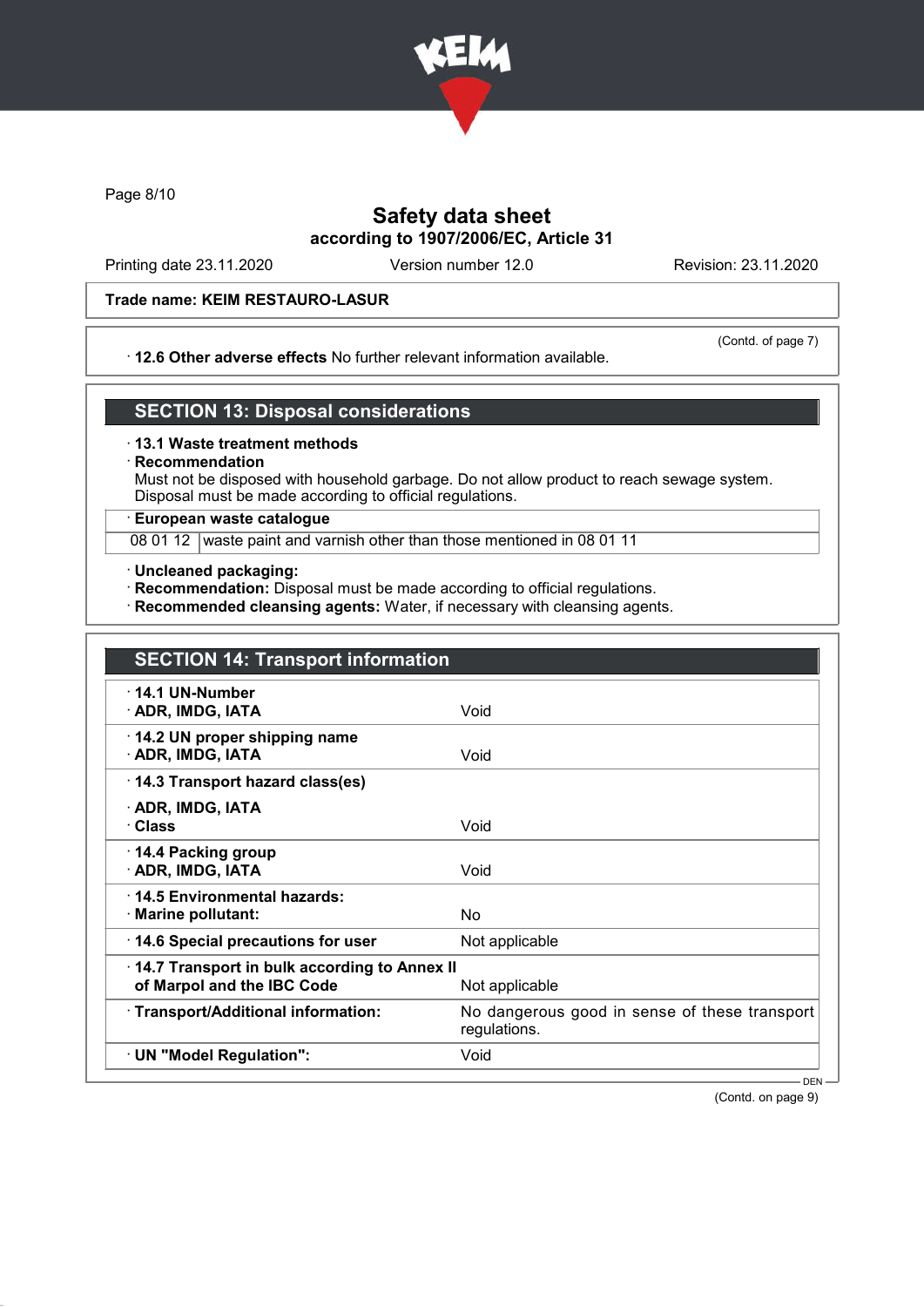

Page 8/10

# Safety data sheet according to 1907/2006/EC, Article 31

Printing date 23.11.2020 Version number 12.0 Revision: 23.11.2020

### Trade name: KEIM RESTAURO-LASUR

#### · 12.6 Other adverse effects No further relevant information available.

(Contd. of page 7)

### SECTION 13: Disposal considerations

#### · 13.1 Waste treatment methods

### **Recommendation**

Must not be disposed with household garbage. Do not allow product to reach sewage system. Disposal must be made according to official regulations.

### · European waste catalogue

08 01 12 waste paint and varnish other than those mentioned in 08 01 11

- · Uncleaned packaging:
- · Recommendation: Disposal must be made according to official regulations.
- · Recommended cleansing agents: Water, if necessary with cleansing agents.

| <b>SECTION 14: Transport information</b>                                   |                                                               |
|----------------------------------------------------------------------------|---------------------------------------------------------------|
| $\cdot$ 14.1 UN-Number<br>· ADR, IMDG, IATA                                | Void                                                          |
| 14.2 UN proper shipping name<br>· ADR, IMDG, IATA                          | Void                                                          |
| 14.3 Transport hazard class(es)                                            |                                                               |
| · ADR, IMDG, IATA<br>· Class                                               | Void                                                          |
| 14.4 Packing group<br>· ADR, IMDG, IATA                                    | Void                                                          |
| 14.5 Environmental hazards:<br>$\cdot$ Marine pollutant:                   | No                                                            |
| 14.6 Special precautions for user                                          | Not applicable                                                |
| 14.7 Transport in bulk according to Annex II<br>of Marpol and the IBC Code | Not applicable                                                |
| · Transport/Additional information:                                        | No dangerous good in sense of these transport<br>regulations. |
| · UN "Model Regulation":                                                   | Void                                                          |

(Contd. on page 9)

DEN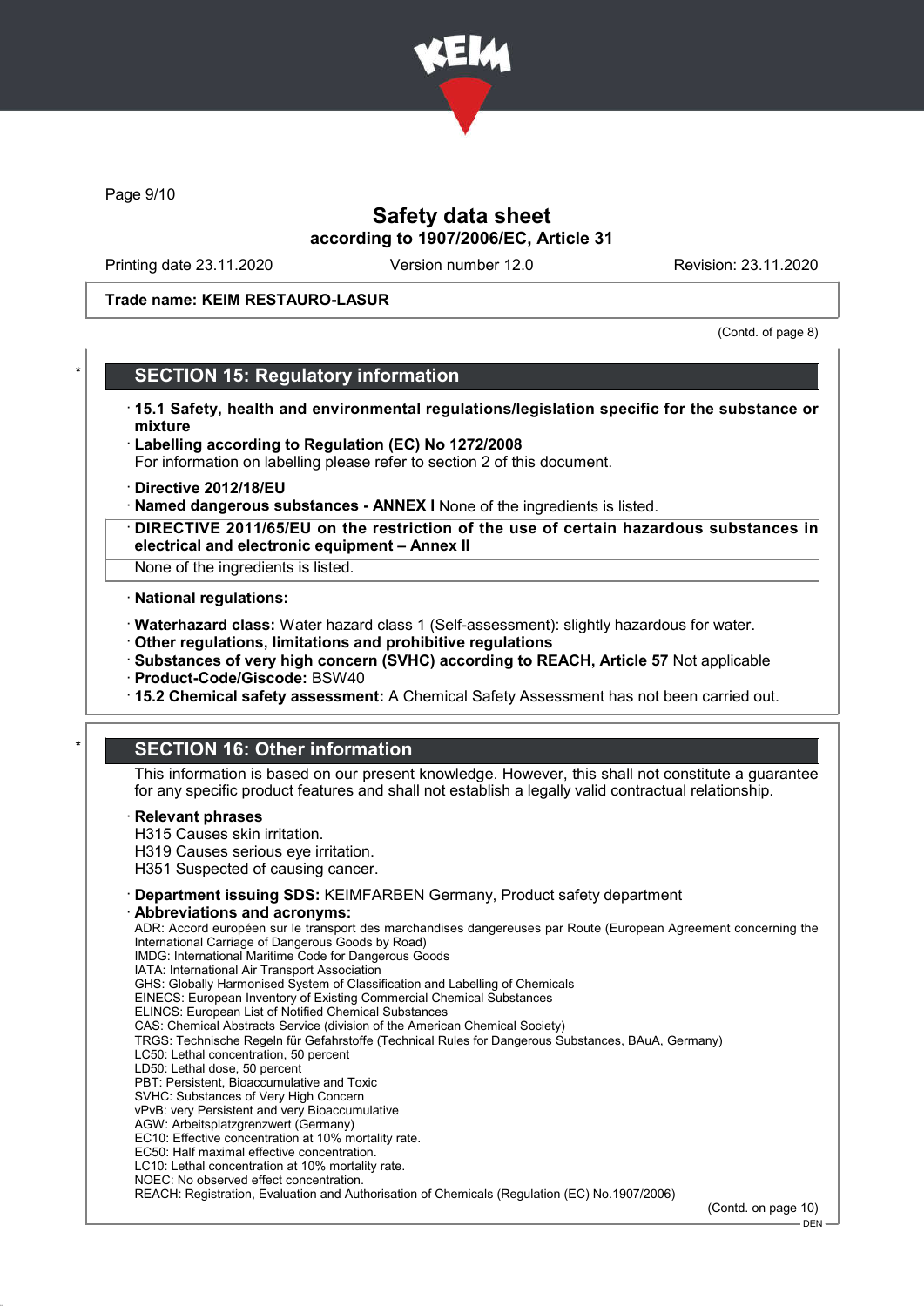

Page 9/10

## Safety data sheet according to 1907/2006/EC, Article 31

Printing date 23.11.2020 Version number 12.0 Revision: 23.11.2020

#### Trade name: KEIM RESTAURO-LASUR

(Contd. of page 8)

### **SECTION 15: Regulatory information**

- · 15.1 Safety, health and environmental regulations/legislation specific for the substance or mixture
- · Labelling according to Regulation (EC) No 1272/2008 For information on labelling please refer to section 2 of this document.
- · Directive 2012/18/EU
- · Named dangerous substances ANNEX I None of the ingredients is listed.
- · DIRECTIVE 2011/65/EU on the restriction of the use of certain hazardous substances in electrical and electronic equipment – Annex II

None of the ingredients is listed.

#### · National regulations:

- · Waterhazard class: Water hazard class 1 (Self-assessment): slightly hazardous for water.
- · Other regulations, limitations and prohibitive regulations
- · Substances of very high concern (SVHC) according to REACH, Article 57 Not applicable
- · Product-Code/Giscode: BSW40
- · 15.2 Chemical safety assessment: A Chemical Safety Assessment has not been carried out.

# **SECTION 16: Other information**

This information is based on our present knowledge. However, this shall not constitute a guarantee for any specific product features and shall not establish a legally valid contractual relationship.

#### **Relevant phrases**

- H315 Causes skin irritation.
- H319 Causes serious eye irritation.
- H351 Suspected of causing cancer.
- · Department issuing SDS: KEIMFARBEN Germany, Product safety department
- Abbreviations and acronyms:

ADR: Accord européen sur le transport des marchandises dangereuses par Route (European Agreement concerning the International Carriage of Dangerous Goods by Road) IMDG: International Maritime Code for Dangerous Goods IATA: International Air Transport Association GHS: Globally Harmonised System of Classification and Labelling of Chemicals EINECS: European Inventory of Existing Commercial Chemical Substances ELINCS: European List of Notified Chemical Substances CAS: Chemical Abstracts Service (division of the American Chemical Society) TRGS: Technische Regeln für Gefahrstoffe (Technical Rules for Dangerous Substances, BAuA, Germany) LC50: Lethal concentration, 50 percent LD50: Lethal dose, 50 percent PBT: Persistent, Bioaccumulative and Toxic SVHC: Substances of Very High Concern vPvB: very Persistent and very Bioaccumulative AGW: Arbeitsplatzgrenzwert (Germany) EC10: Effective concentration at 10% mortality rate. EC50: Half maximal effective concentration. LC10: Lethal concentration at 10% mortality rate. NOEC: No observed effect concentration.

REACH: Registration, Evaluation and Authorisation of Chemicals (Regulation (EC) No.1907/2006)